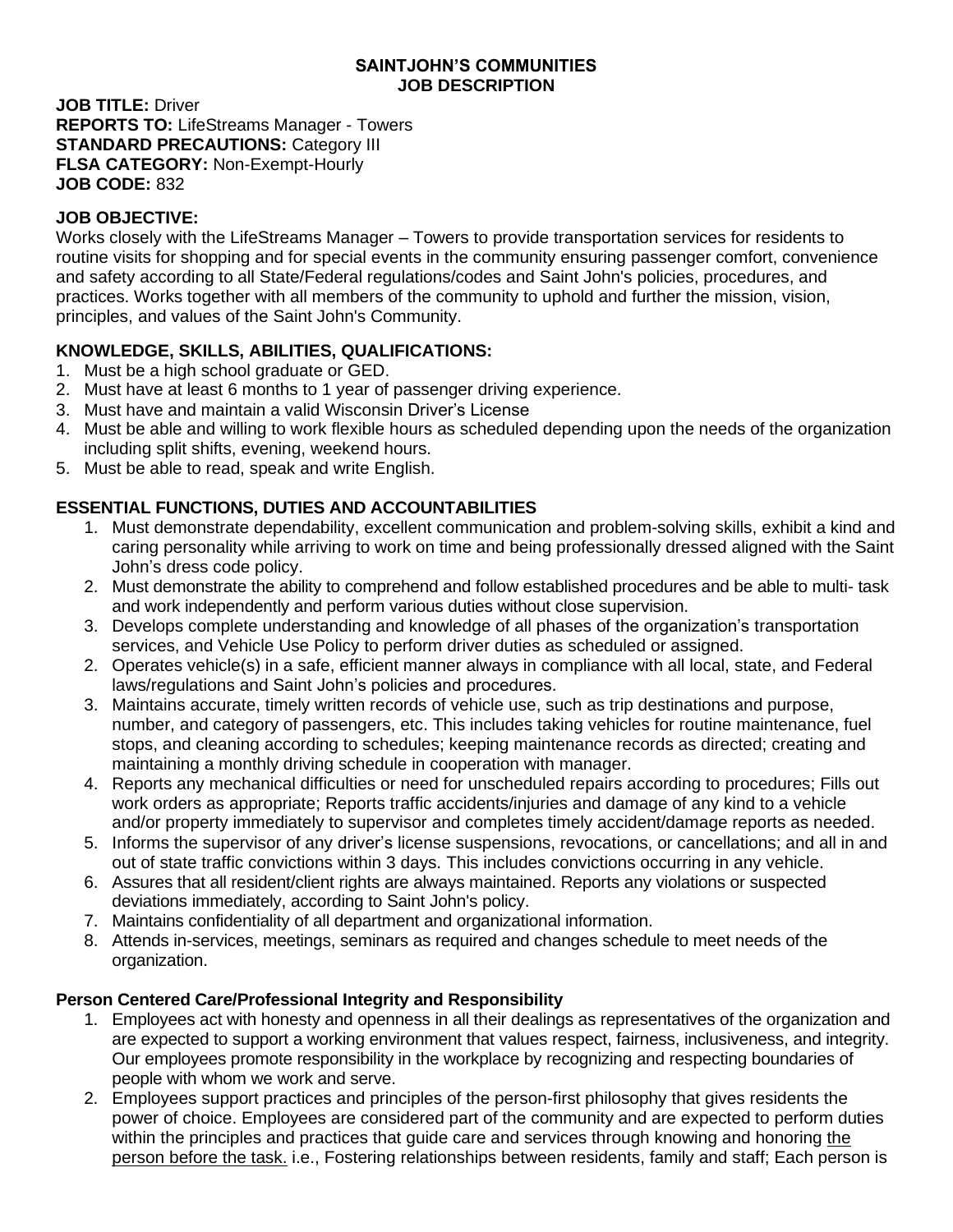#### **SAINTJOHN'S COMMUNITIES JOB DESCRIPTION**

**JOB TITLE:** Driver **REPORTS TO:** LifeStreams Manager - Towers **STANDARD PRECAUTIONS: Category III FLSA CATEGORY:** Non-Exempt-Hourly **JOB CODE:** 832

### **JOB OBJECTIVE:**

Works closely with the LifeStreams Manager – Towers to provide transportation services for residents to routine visits for shopping and for special events in the community ensuring passenger comfort, convenience and safety according to all State/Federal regulations/codes and Saint John's policies, procedures, and practices. Works together with all members of the community to uphold and further the mission, vision, principles, and values of the Saint John's Community.

## **KNOWLEDGE, SKILLS, ABILITIES, QUALIFICATIONS:**

- 1. Must be a high school graduate or GED.
- 2. Must have at least 6 months to 1 year of passenger driving experience.
- 3. Must have and maintain a valid Wisconsin Driver's License
- 4. Must be able and willing to work flexible hours as scheduled depending upon the needs of the organization including split shifts, evening, weekend hours.
- 5. Must be able to read, speak and write English.

# **ESSENTIAL FUNCTIONS, DUTIES AND ACCOUNTABILITIES**

- 1. Must demonstrate dependability, excellent communication and problem-solving skills, exhibit a kind and caring personality while arriving to work on time and being professionally dressed aligned with the Saint John's dress code policy.
- 2. Must demonstrate the ability to comprehend and follow established procedures and be able to multi- task and work independently and perform various duties without close supervision.
- 3. Develops complete understanding and knowledge of all phases of the organization's transportation services, and Vehicle Use Policy to perform driver duties as scheduled or assigned.
- 2. Operates vehicle(s) in a safe, efficient manner always in compliance with all local, state, and Federal laws/regulations and Saint John's policies and procedures.
- 3. Maintains accurate, timely written records of vehicle use, such as trip destinations and purpose, number, and category of passengers, etc. This includes taking vehicles for routine maintenance, fuel stops, and cleaning according to schedules; keeping maintenance records as directed; creating and maintaining a monthly driving schedule in cooperation with manager.
- 4. Reports any mechanical difficulties or need for unscheduled repairs according to procedures; Fills out work orders as appropriate; Reports traffic accidents/injuries and damage of any kind to a vehicle and/or property immediately to supervisor and completes timely accident/damage reports as needed.
- 5. Informs the supervisor of any driver's license suspensions, revocations, or cancellations; and all in and out of state traffic convictions within 3 days. This includes convictions occurring in any vehicle.
- 6. Assures that all resident/client rights are always maintained. Reports any violations or suspected deviations immediately, according to Saint John's policy.
- 7. Maintains confidentiality of all department and organizational information.
- 8. Attends in-services, meetings, seminars as required and changes schedule to meet needs of the organization.

## **Person Centered Care/Professional Integrity and Responsibility**

- 1. Employees act with honesty and openness in all their dealings as representatives of the organization and are expected to support a working environment that values respect, fairness, inclusiveness, and integrity. Our employees promote responsibility in the workplace by recognizing and respecting boundaries of people with whom we work and serve.
- 2. Employees support practices and principles of the person-first philosophy that gives residents the power of choice. Employees are considered part of the community and are expected to perform duties within the principles and practices that guide care and services through knowing and honoring the person before the task. i.e., Fostering relationships between residents, family and staff; Each person is